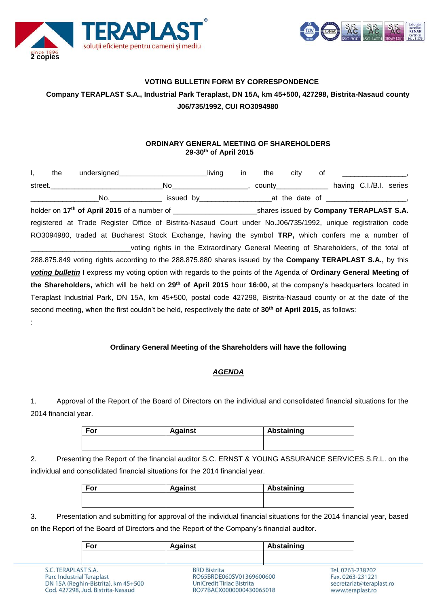



# **VOTING BULLETIN FORM BY CORRESPONDENCE Company TERAPLAST S.A., Industrial Park Teraplast, DN 15A, km 45+500, 427298, Bistrita-Nasaud county J06/735/1992, CUI RO3094980**

### **ORDINARY GENERAL MEETING OF SHAREHOLDERS 29-30th of April 2015**

| I, | the | undersigned undersigned undersigned undersigned undersigned undersigned undersigned undersigned undersigned undersigned undersigned undersigned undersigned undersigned undersigned undersigned undersigned undersigned unders |  | in | the | city | оf |                                                                                                                             |
|----|-----|--------------------------------------------------------------------------------------------------------------------------------------------------------------------------------------------------------------------------------|--|----|-----|------|----|-----------------------------------------------------------------------------------------------------------------------------|
|    |     | street.                                                                                                                                                                                                                        |  |    |     |      |    | county having C.I./B.I. series                                                                                              |
|    |     |                                                                                                                                                                                                                                |  |    |     |      |    | _No._________________ issued by___________________________at the date of ___________________________                        |
|    |     |                                                                                                                                                                                                                                |  |    |     |      |    |                                                                                                                             |
|    |     |                                                                                                                                                                                                                                |  |    |     |      |    | registered at Trade Register Office of Bistrita-Nasaud Court under No.J06/735/1992, unique registration code                |
|    |     |                                                                                                                                                                                                                                |  |    |     |      |    | RO3094980, traded at Bucharest Stock Exchange, having the symbol TRP, which confers me a number of                          |
|    |     |                                                                                                                                                                                                                                |  |    |     |      |    | voting rights in the Extraordinary General Meeting of Shareholders, of the total of                                         |
|    |     |                                                                                                                                                                                                                                |  |    |     |      |    | 288.875.849 voting rights according to the 288.875.880 shares issued by the <b>Company TERAPLAST S.A.</b> , by this         |
|    |     |                                                                                                                                                                                                                                |  |    |     |      |    | voting bulletin I express my voting option with regards to the points of the Agenda of Ordinary General Meeting of          |
|    |     |                                                                                                                                                                                                                                |  |    |     |      |    | the Shareholders, which will be held on 29 <sup>th</sup> of April 2015 hour 16:00, at the company's headquarters located in |
|    |     |                                                                                                                                                                                                                                |  |    |     |      |    | Teraplast Industrial Park, DN 15A, km 45+500, postal code 427298, Bistrita-Nasaud county or at the date of the              |
|    |     | second meeting, when the first couldn't be held, respectively the date of 30 <sup>th</sup> of April 2015, as follows:                                                                                                          |  |    |     |      |    |                                                                                                                             |
|    |     |                                                                                                                                                                                                                                |  |    |     |      |    |                                                                                                                             |

## **Ordinary General Meeting of the Shareholders will have the following**

## *AGENDA*

1. Approval of the Report of the Board of Directors on the individual and consolidated financial situations for the 2014 financial year.

| For | <b>Against</b> | Abstaining |
|-----|----------------|------------|
|     |                |            |
|     |                |            |

2. Presenting the Report of the financial auditor S.C. ERNST & YOUNG ASSURANCE SERVICES S.R.L. on the individual and consolidated financial situations for the 2014 financial year.

| For | <b>Against</b> | Abstaining |
|-----|----------------|------------|
|     |                |            |
|     |                |            |

3. Presentation and submitting for approval of the individual financial situations for the 2014 financial year, based

on the Report of the Board of Directors and the Report of the Company's financial auditor.

|                                                  | For                                                                      | <b>Against</b>                                                                                           | Abstaining |                                                                                      |
|--------------------------------------------------|--------------------------------------------------------------------------|----------------------------------------------------------------------------------------------------------|------------|--------------------------------------------------------------------------------------|
|                                                  |                                                                          |                                                                                                          |            |                                                                                      |
| S.C. TERAPLAST S.A.<br>Parc Industrial Teraplast | DN 15A (Reghin-Bistrita), km 45+500<br>Cod. 427298, Jud. Bistrita-Nasaud | <b>BRD Bistrita</b><br>RO65BRDE060SV01369600600<br>UniCredit Tiriac Bistrita<br>RO77BACX0000000430065018 |            | Tel. 0263-238202<br>Fax. 0263-231221<br>secretariat@teraplast.ro<br>www.teraplast.ro |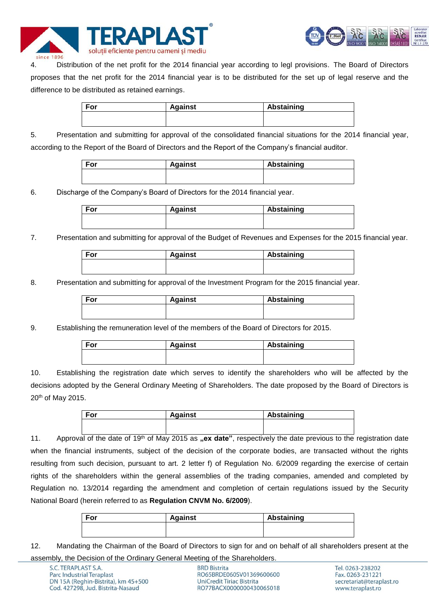



4. Distribution of the net profit for the 2014 financial year according to legl provisions. The Board of Directors proposes that the net profit for the 2014 financial year is to be distributed for the set up of legal reserve and the difference to be distributed as retained earnings.

| For | <b>Against</b> | Abstaining |
|-----|----------------|------------|
|     |                |            |

5. Presentation and submitting for approval of the consolidated financial situations for the 2014 financial year, according to the Report of the Board of Directors and the Report of the Company's financial auditor.

| For | <b>Against</b> | Abstaining |
|-----|----------------|------------|
|     |                |            |
|     |                |            |

6. Discharge of the Company's Board of Directors for the 2014 financial year.

| <b>Against</b> | Abstaining |
|----------------|------------|
|                |            |
|                |            |

7. Presentation and submitting for approval of the Budget of Revenues and Expenses for the 2015 financial year.

| For | <b>Against</b> | Abstaining |
|-----|----------------|------------|
|     |                |            |
|     |                |            |

8. Presentation and submitting for approval of the Investment Program for the 2015 financial year.

| For | <b>Against</b> | Abstaining |
|-----|----------------|------------|
|     |                |            |
|     |                |            |

9. Establishing the remuneration level of the members of the Board of Directors for 2015.

| For | <b>Against</b> | Abstaining |
|-----|----------------|------------|
|     |                |            |

10. Establishing the registration date which serves to identify the shareholders who will be affected by the decisions adopted by the General Ordinary Meeting of Shareholders. The date proposed by the Board of Directors is 20th of May 2015.

| For | <b>Against</b> | Abstaining |
|-----|----------------|------------|
|     |                |            |

11. Approval of the date of 19th of May 2015 as **"ex date"**, respectively the date previous to the registration date when the financial instruments, subject of the decision of the corporate bodies, are transacted without the rights resulting from such decision, pursuant to art. 2 letter f) of Regulation No. 6/2009 regarding the exercise of certain rights of the shareholders within the general assemblies of the trading companies, amended and completed by Regulation no. 13/2014 regarding the amendment and completion of certain regulations issued by the Security National Board (herein referred to as **Regulation CNVM No. 6/2009**).

| For | <b>Against</b> | <b>Abstaining</b> |
|-----|----------------|-------------------|
|     |                |                   |
|     |                |                   |

12. Mandating the Chairman of the Board of Directors to sign for and on behalf of all shareholders present at the

assembly, the Decision of the Ordinary General Meeting of the Shareholders.

**BRD Bistrita** RO65BRDE060SV01369600600 **UniCredit Tiriac Bistrita** RO77BACX0000000430065018